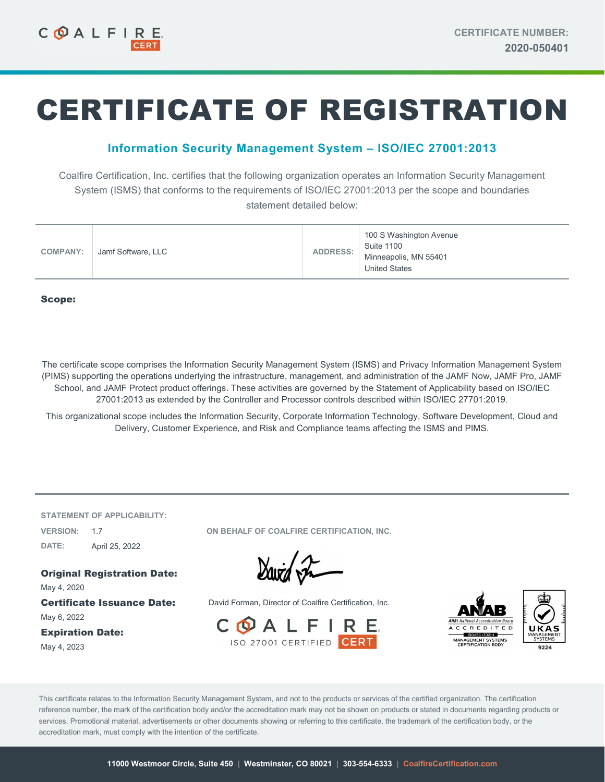# CERTIFICATE OF REGISTRATION

## Information Security Management System – ISO/IEC 27001:2013

Coalfire Certification, Inc. certifies that the following organization operates an Information Security Management System (ISMS) that conforms to the requirements of ISO/IEC 27001:2013 per the scope and boundaries statement detailed below:

| <b>COMPANY:</b> | Jamf Software, LLC | <b>ADDRESS:</b> | 100 S Washington Avenue<br><b>Suite 1100</b><br>Minneapolis, MN 55401<br><b>United States</b> |
|-----------------|--------------------|-----------------|-----------------------------------------------------------------------------------------------|
|-----------------|--------------------|-----------------|-----------------------------------------------------------------------------------------------|

#### Scope:

The certificate scope comprises the Information Security Management System (ISMS) and Privacy Information Management System (PIMS) supporting the operations underlying the infrastructure, management, and administration of the JAMF Now, JAMF Pro, JAMF School, and JAMF Protect product offerings. These activities are governed by the Statement of Applicability based on ISO/IEC 27001:2013 as extended by the Controller and Processor controls described within ISO/IEC 27701:2019.

This organizational scope includes the Information Security, Corporate Information Technology, Software Development, Cloud and Delivery, Customer Experience, and Risk and Compliance teams affecting the ISMS and PIMS.

STATEMENT OF APPLICABILITY: DATE: April 25, 2022

VERSION: 1.7 ON BEHALF OF COALFIRE CERTIFICATION, INC.

Original Registration Date: May 4, 2020

May 6, 2022

Expiration Date: May 4, 2023

David Fr

**Certificate Issuance Date:** David Forman, Director of Coalfire Certification, Inc.





This certificate relates to the Information Security Management System, and not to the products or services of the certified organization. The certification reference number, the mark of the certification body and/or the accreditation mark may not be shown on products or stated in documents regarding products or services. Promotional material, advertisements or other documents showing or referring to this certificate, the trademark of the certification body, or the accreditation mark, must comply with the intention of the certificate.